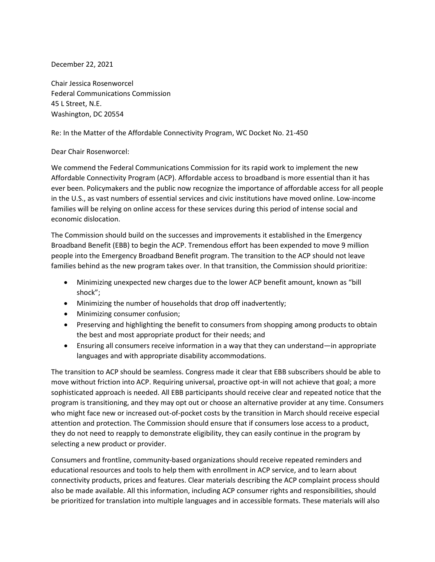December 22, 2021

Chair Jessica Rosenworcel Federal Communications Commission 45 L Street, N.E. Washington, DC 20554

## Re: In the Matter of the Affordable Connectivity Program, WC Docket No. 21-450

## Dear Chair Rosenworcel:

We commend the Federal Communications Commission for its rapid work to implement the new Affordable Connectivity Program (ACP). Affordable access to broadband is more essential than it has ever been. Policymakers and the public now recognize the importance of affordable access for all people in the U.S., as vast numbers of essential services and civic institutions have moved online. Low-income families will be relying on online access for these services during this period of intense social and economic dislocation.

The Commission should build on the successes and improvements it established in the Emergency Broadband Benefit (EBB) to begin the ACP. Tremendous effort has been expended to move 9 million people into the Emergency Broadband Benefit program. The transition to the ACP should not leave families behind as the new program takes over. In that transition, the Commission should prioritize:

- Minimizing unexpected new charges due to the lower ACP benefit amount, known as "bill shock";
- Minimizing the number of households that drop off inadvertently;
- Minimizing consumer confusion;
- Preserving and highlighting the benefit to consumers from shopping among products to obtain the best and most appropriate product for their needs; and
- Ensuring all consumers receive information in a way that they can understand—in appropriate languages and with appropriate disability accommodations.

The transition to ACP should be seamless. Congress made it clear that EBB subscribers should be able to move without friction into ACP. Requiring universal, proactive opt-in will not achieve that goal; a more sophisticated approach is needed. All EBB participants should receive clear and repeated notice that the program is transitioning, and they may opt out or choose an alternative provider at any time. Consumers who might face new or increased out-of-pocket costs by the transition in March should receive especial attention and protection. The Commission should ensure that if consumers lose access to a product, they do not need to reapply to demonstrate eligibility, they can easily continue in the program by selecting a new product or provider.

Consumers and frontline, community-based organizations should receive repeated reminders and educational resources and tools to help them with enrollment in ACP service, and to learn about connectivity products, prices and features. Clear materials describing the ACP complaint process should also be made available. All this information, including ACP consumer rights and responsibilities, should be prioritized for translation into multiple languages and in accessible formats. These materials will also